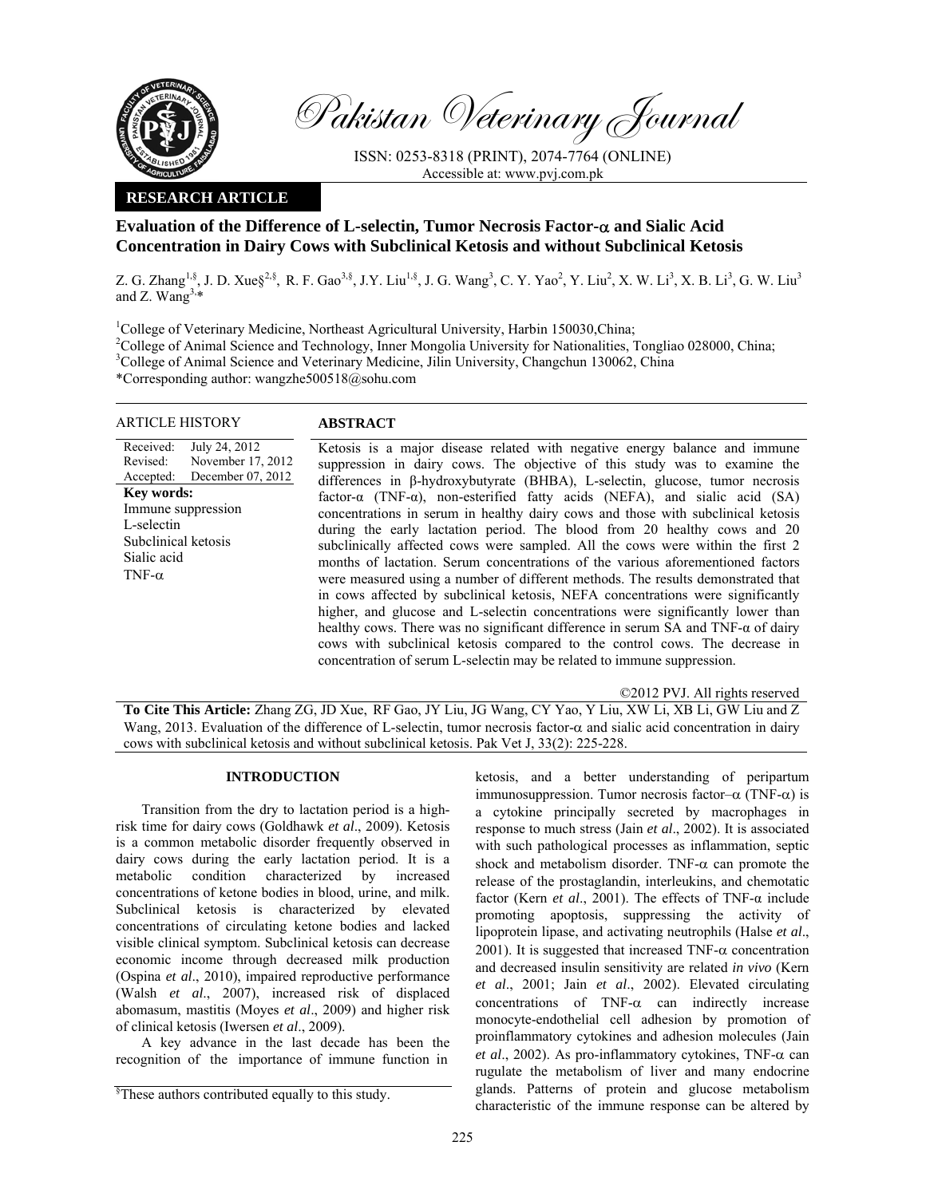

Pakistan Veterinary Journal

ISSN: 0253-8318 (PRINT), 2074-7764 (ONLINE) Accessible at: www.pvj.com.pk

## **RESEARCH ARTICLE**

# **Evaluation of the Difference of L-selectin, Tumor Necrosis Factor-**α **and Sialic Acid Concentration in Dairy Cows with Subclinical Ketosis and without Subclinical Ketosis**

Z. G. Zhang<sup>1,§</sup>, J. D. Xue§<sup>2,§</sup>, R. F. Gao<sup>3,§</sup>, J.Y. Liu<sup>1,§</sup>, J. G. Wang<sup>3</sup>, C. Y. Yao<sup>2</sup>, Y. Liu<sup>2</sup>, X. W. Li<sup>3</sup>, X. B. Li<sup>3</sup>, G. W. Liu<sup>3</sup> and Z. Wang $3.*$ 

<sup>1</sup>College of Veterinary Medicine, Northeast Agricultural University, Harbin 150030, China; <sup>2</sup>College of Animal Science and Technology, Inner Mongolia University for Nationalities, Tongliao 028000, China; <sup>3</sup>College of Animal Science and Veterinary Medicine, Jilin University, Changchun 130062, China \*Corresponding author: wangzhe500518@sohu.com

## ARTICLE HISTORY **ABSTRACT**

Received: Revised: Accepted: July 24, 2012 November 17, 2012 December 07, 2012 Ketosis is a major disease related with negative energy balance and immune suppression in dairy cows. The objective of this study was to examine the differences in β-hydroxybutyrate (BHBA), L-selectin, glucose, tumor necrosis factor- $\alpha$  (TNF- $\alpha$ ), non-esterified fatty acids (NEFA), and sialic acid (SA) concentrations in serum in healthy dairy cows and those with subclinical ketosis during the early lactation period. The blood from 20 healthy cows and 20 subclinically affected cows were sampled. All the cows were within the first 2 months of lactation. Serum concentrations of the various aforementioned factors were measured using a number of different methods. The results demonstrated that in cows affected by subclinical ketosis, NEFA concentrations were significantly higher, and glucose and L-selectin concentrations were significantly lower than healthy cows. There was no significant difference in serum SA and TNF-α of dairy cows with subclinical ketosis compared to the control cows. The decrease in concentration of serum L-selectin may be related to immune suppression. **Key words:**  Immune suppression L-selectin Subclinical ketosis Sialic acid TNF-α

©2012 PVJ. All rights reserved

**To Cite This Article:** Zhang ZG, JD Xue, RF Gao, JY Liu, JG Wang, CY Yao, Y Liu, XW Li, XB Li, GW Liu and Z Wang, 2013. Evaluation of the difference of L-selectin, tumor necrosis factor-α and sialic acid concentration in dairy cows with subclinical ketosis and without subclinical ketosis. Pak Vet J, 33(2): 225-228.

## **INTRODUCTION**

Transition from the dry to lactation period is a highrisk time for dairy cows (Goldhawk *et al*., 2009). Ketosis is a common metabolic disorder frequently observed in dairy cows during the early lactation period. It is a metabolic condition characterized by increased concentrations of ketone bodies in blood, urine, and milk. Subclinical ketosis is characterized by elevated concentrations of circulating ketone bodies and lacked visible clinical symptom. Subclinical ketosis can decrease economic income through decreased milk production (Ospina *et al*., 2010), impaired reproductive performance (Walsh *et al*., 2007), increased risk of displaced abomasum, mastitis (Moyes *et al*., 2009) and higher risk of clinical ketosis (Iwersen *et al*., 2009).

A key advance in the last decade has been the recognition of the importance of immune function in

ketosis, and a better understanding of peripartum immunosuppression. Tumor necrosis factor–α (TNF-α) is a cytokine principally secreted by macrophages in response to much stress (Jain *et al*., 2002). It is associated with such pathological processes as inflammation, septic shock and metabolism disorder. TNF- $\alpha$  can promote the release of the prostaglandin, interleukins, and chemotatic factor (Kern *et al*., 2001). The effects of TNF-α include promoting apoptosis, suppressing the activity of lipoprotein lipase, and activating neutrophils (Halse *et al*., 2001). It is suggested that increased TNF- $\alpha$  concentration and decreased insulin sensitivity are related *in vivo* (Kern *et al*., 2001; Jain *et al*., 2002). Elevated circulating concentrations of  $TNF-\alpha$  can indirectly increase monocyte-endothelial cell adhesion by promotion of proinflammatory cytokines and adhesion molecules (Jain *et al*., 2002). As pro-inflammatory cytokines, TNF-α can rugulate the metabolism of liver and many endocrine glands. Patterns of protein and glucose metabolism characteristic of the immune response can be altered by

<sup>§</sup> These authors contributed equally to this study.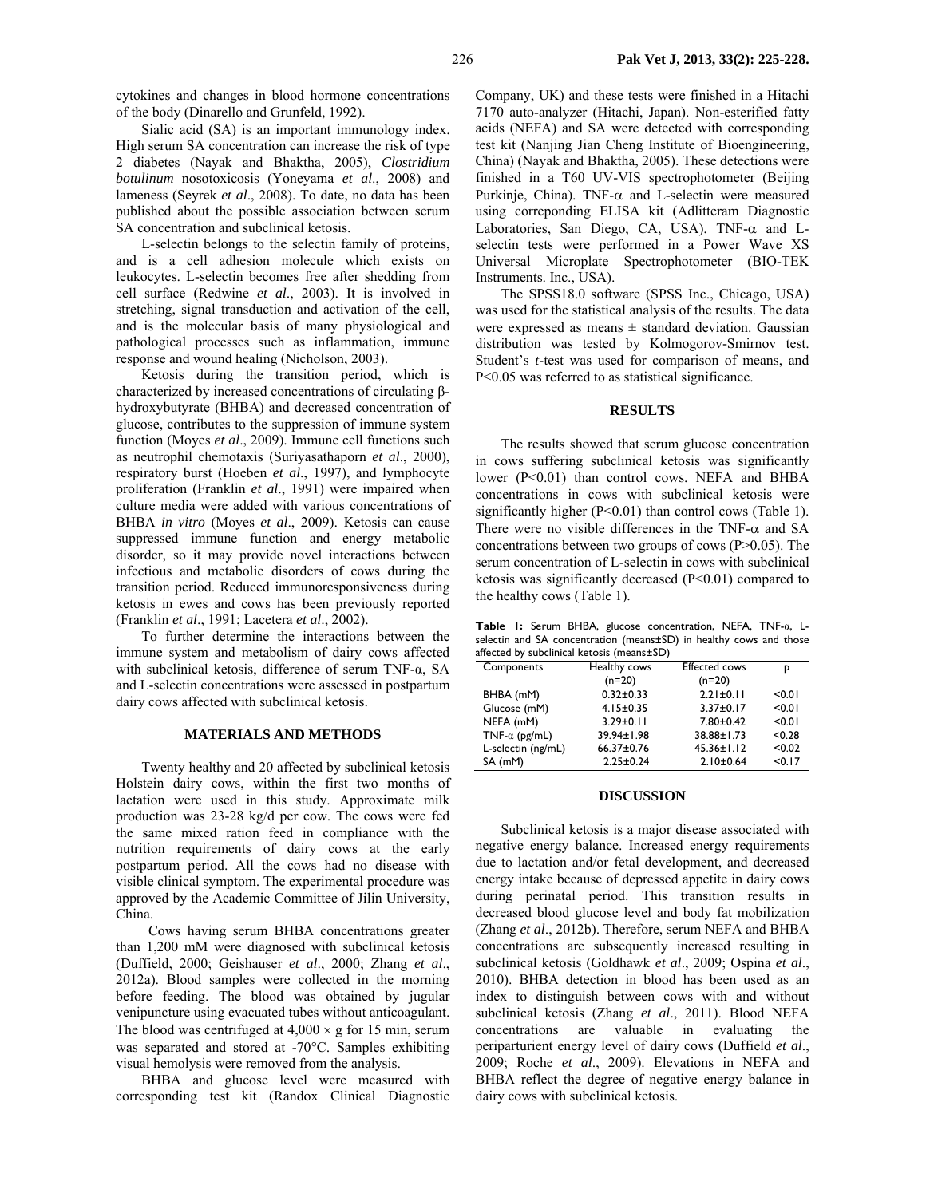cytokines and changes in blood hormone concentrations of the body (Dinarello and Grunfeld, 1992).

Sialic acid (SA) is an important immunology index. High serum SA concentration can increase the risk of type 2 diabetes (Nayak and Bhaktha, 2005), *Clostridium botulinum* nosotoxicosis (Yoneyama *et al*., 2008) and lameness (Seyrek *et al*., 2008). To date, no data has been published about the possible association between serum SA concentration and subclinical ketosis.

L-selectin belongs to the selectin family of proteins, and is a cell adhesion molecule which exists on leukocytes. L-selectin becomes free after shedding from cell surface (Redwine *et al*., 2003). It is involved in stretching, signal transduction and activation of the cell, and is the molecular basis of many physiological and pathological processes such as inflammation, immune response and wound healing (Nicholson, 2003).

Ketosis during the transition period, which is characterized by increased concentrations of circulating βhydroxybutyrate (BHBA) and decreased concentration of glucose, contributes to the suppression of immune system function (Moyes *et al*., 2009). Immune cell functions such as neutrophil chemotaxis (Suriyasathaporn *et al*., 2000), respiratory burst (Hoeben *et al*., 1997), and lymphocyte proliferation (Franklin *et al*., 1991) were impaired when culture media were added with various concentrations of BHBA *in vitro* (Moyes *et al*., 2009). Ketosis can cause suppressed immune function and energy metabolic disorder, so it may provide novel interactions between infectious and metabolic disorders of cows during the transition period. Reduced immunoresponsiveness during ketosis in ewes and cows has been previously reported (Franklin *et al*., 1991; Lacetera *et al*., 2002).

To further determine the interactions between the immune system and metabolism of dairy cows affected with subclinical ketosis, difference of serum TNF-α, SA and L-selectin concentrations were assessed in postpartum dairy cows affected with subclinical ketosis.

#### **MATERIALS AND METHODS**

Twenty healthy and 20 affected by subclinical ketosis Holstein dairy cows, within the first two months of lactation were used in this study. Approximate milk production was 23-28 kg/d per cow. The cows were fed the same mixed ration feed in compliance with the nutrition requirements of dairy cows at the early postpartum period. All the cows had no disease with visible clinical symptom. The experimental procedure was approved by the Academic Committee of Jilin University, China.

 Cows having serum BHBA concentrations greater than 1,200 mM were diagnosed with subclinical ketosis (Duffield, 2000; Geishauser *et al*., 2000; Zhang *et al*., 2012a). Blood samples were collected in the morning before feeding. The blood was obtained by jugular venipuncture using evacuated tubes without anticoagulant. The blood was centrifuged at  $4,000 \times g$  for 15 min, serum was separated and stored at -70°C. Samples exhibiting visual hemolysis were removed from the analysis.

BHBA and glucose level were measured with corresponding test kit (Randox Clinical Diagnostic Company, UK) and these tests were finished in a Hitachi 7170 auto-analyzer (Hitachi, Japan). Non-esterified fatty acids (NEFA) and SA were detected with corresponding test kit (Nanjing Jian Cheng Institute of Bioengineering, China) (Nayak and Bhaktha, 2005). These detections were finished in a T60 UV-VIS spectrophotometer (Beijing Purkinje, China). TNF- $\alpha$  and L-selectin were measured using correponding ELISA kit (Adlitteram Diagnostic Laboratories, San Diego, CA, USA). TNF-α and Lselectin tests were performed in a Power Wave XS Universal Microplate Spectrophotometer (BIO-TEK Instruments. Inc., USA).

The SPSS18.0 software (SPSS Inc., Chicago, USA) was used for the statistical analysis of the results. The data were expressed as means  $\pm$  standard deviation. Gaussian distribution was tested by Kolmogorov-Smirnov test. Student's *t*-test was used for comparison of means, and P<0.05 was referred to as statistical significance.

### **RESULTS**

The results showed that serum glucose concentration in cows suffering subclinical ketosis was significantly lower (P<0.01) than control cows. NEFA and BHBA concentrations in cows with subclinical ketosis were significantly higher  $(P<0.01)$  than control cows (Table 1). There were no visible differences in the TNF- $\alpha$  and SA concentrations between two groups of cows (P>0.05). The serum concentration of L-selectin in cows with subclinical ketosis was significantly decreased (P<0.01) compared to the healthy cows (Table 1).

**Table 1:** Serum BHBA, glucose concentration, NEFA, TNF-α, Lselectin and SA concentration (means±SD) in healthy cows and those affected by subclinical ketosis (means±SD)

| Components            | Healthy cows    | <b>Effected cows</b> | р      |
|-----------------------|-----------------|----------------------|--------|
|                       | $(n=20)$        | $(n=20)$             |        |
| BHBA (mM)             | $0.32 \pm 0.33$ | $2.21 \pm 0.11$      | < 0.01 |
| Glucose (mM)          | $4.15 \pm 0.35$ | $3.37 \pm 0.17$      | < 0.01 |
| NEFA (mM)             | $3.29 \pm 0.11$ | $7.80 \pm 0.42$      | < 0.01 |
| TNF- $\alpha$ (pg/mL) | 39.94±1.98      | 38.88±1.73           | < 0.28 |
| L-selectin (ng/mL)    | 66.37±0.76      | $45.36 \pm 1.12$     | < 0.02 |
| SA (mM)               | $2.25 \pm 0.24$ | $2.10 \pm 0.64$      | < 0.17 |

#### **DISCUSSION**

Subclinical ketosis is a major disease associated with negative energy balance. Increased energy requirements due to lactation and/or fetal development, and decreased energy intake because of depressed appetite in dairy cows during perinatal period. This transition results in decreased blood glucose level and body fat mobilization (Zhang *et al*., 2012b). Therefore, serum NEFA and BHBA concentrations are subsequently increased resulting in subclinical ketosis (Goldhawk *et al*., 2009; Ospina *et al*., 2010). BHBA detection in blood has been used as an index to distinguish between cows with and without subclinical ketosis (Zhang *et al*., 2011). Blood NEFA concentrations are valuable in evaluating the periparturient energy level of dairy cows (Duffield *et al*., 2009; Roche *et al*., 2009). Elevations in NEFA and BHBA reflect the degree of negative energy balance in dairy cows with subclinical ketosis.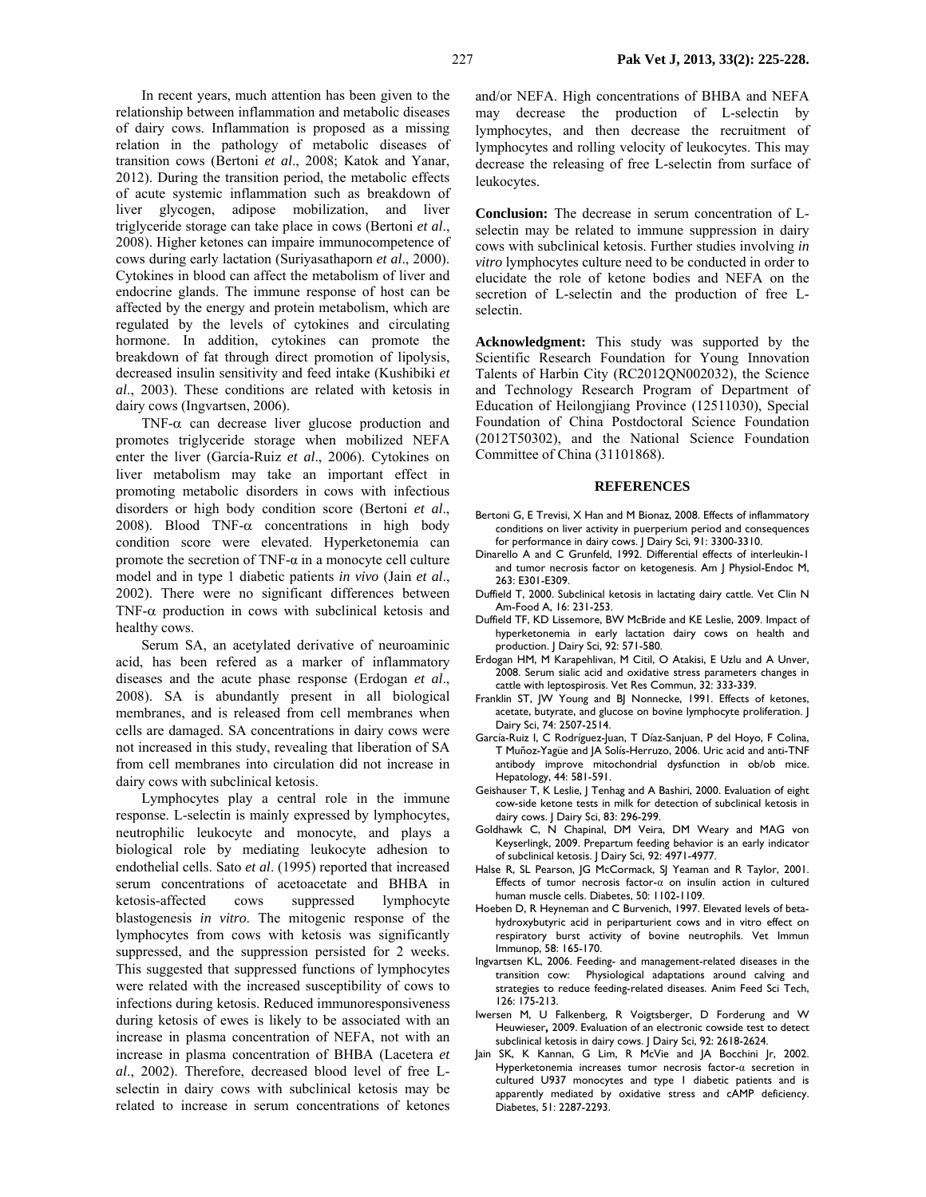In recent years, much attention has been given to the relationship between inflammation and metabolic diseases of dairy cows. Inflammation is proposed as a missing relation in the pathology of metabolic diseases of transition cows (Bertoni *et al*., 2008; Katok and Yanar, 2012). During the transition period, the metabolic effects of acute systemic inflammation such as breakdown of liver glycogen, adipose mobilization, and liver triglyceride storage can take place in cows (Bertoni *et al*., 2008). Higher ketones can impaire immunocompetence of cows during early lactation (Suriyasathaporn *et al*., 2000). Cytokines in blood can affect the metabolism of liver and endocrine glands. The immune response of host can be affected by the energy and protein metabolism, which are regulated by the levels of cytokines and circulating hormone. In addition, cytokines can promote the breakdown of fat through direct promotion of lipolysis, decreased insulin sensitivity and feed intake (Kushibiki *et al*., 2003). These conditions are related with ketosis in dairy cows (Ingvartsen, 2006).

TNF- $\alpha$  can decrease liver glucose production and promotes triglyceride storage when mobilized NEFA enter the liver (García-Ruiz *et al*., 2006). Cytokines on liver metabolism may take an important effect in promoting metabolic disorders in cows with infectious disorders or high body condition score (Bertoni *et al*., 2008). Blood TNF- $\alpha$  concentrations in high body condition score were elevated. Hyperketonemia can promote the secretion of TNF-α in a monocyte cell culture model and in type 1 diabetic patients *in vivo* (Jain *et al*., 2002). There were no significant differences between TNF- $\alpha$  production in cows with subclinical ketosis and healthy cows.

Serum SA, an acetylated derivative of neuroaminic acid, has been refered as a marker of inflammatory diseases and the acute phase response (Erdogan *et al*., 2008). SA is abundantly present in all biological membranes, and is released from cell membranes when cells are damaged. SA concentrations in dairy cows were not increased in this study, revealing that liberation of SA from cell membranes into circulation did not increase in dairy cows with subclinical ketosis.

Lymphocytes play a central role in the immune response. L-selectin is mainly expressed by lymphocytes, neutrophilic leukocyte and monocyte, and plays a biological role by mediating leukocyte adhesion to endothelial cells. Sato *et al*. (1995) reported that increased serum concentrations of acetoacetate and BHBA in ketosis-affected cows suppressed lymphocyte blastogenesis *in vitro*. The mitogenic response of the lymphocytes from cows with ketosis was significantly suppressed, and the suppression persisted for 2 weeks. This suggested that suppressed functions of lymphocytes were related with the increased susceptibility of cows to infections during ketosis. Reduced immunoresponsiveness during ketosis of ewes is likely to be associated with an increase in plasma concentration of NEFA, not with an increase in plasma concentration of BHBA (Lacetera *et al*., 2002). Therefore, decreased blood level of free Lselectin in dairy cows with subclinical ketosis may be related to increase in serum concentrations of ketones

and/or NEFA. High concentrations of BHBA and NEFA may decrease the production of L-selectin by lymphocytes, and then decrease the recruitment of lymphocytes and rolling velocity of leukocytes. This may decrease the releasing of free L-selectin from surface of leukocytes.

**Conclusion:** The decrease in serum concentration of Lselectin may be related to immune suppression in dairy cows with subclinical ketosis. Further studies involving *in vitro* lymphocytes culture need to be conducted in order to elucidate the role of ketone bodies and NEFA on the secretion of L-selectin and the production of free Lselectin.

**Acknowledgment:** This study was supported by the Scientific Research Foundation for Young Innovation Talents of Harbin City (RC2012QN002032), the Science and Technology Research Program of Department of Education of Heilongjiang Province (12511030), Special Foundation of China Postdoctoral Science Foundation (2012T50302), and the National Science Foundation Committee of China (31101868).

#### **REFERENCES**

- Bertoni G, E Trevisi, X Han and M Bionaz, 2008. Effects of inflammatory conditions on liver activity in puerperium period and consequences for performance in dairy cows. J Dairy Sci, 91: 3300-3310.
- Dinarello A and C Grunfeld, 1992. Differential effects of interleukin-1 and tumor necrosis factor on ketogenesis. Am J Physiol-Endoc M, 263: E301-E309.
- Duffield T, 2000. Subclinical ketosis in lactating dairy cattle. Vet Clin N Am-Food A, 16: 231-253.
- Duffield TF, KD Lissemore, BW McBride and KE Leslie, 2009. Impact of hyperketonemia in early lactation dairy cows on health and production. J Dairy Sci, 92: 571-580.
- Erdogan HM, M Karapehlivan, M Citil, O Atakisi, E Uzlu and A Unver, 2008. Serum sialic acid and oxidative stress parameters changes in cattle with leptospirosis. Vet Res Commun, 32: 333-339.
- Franklin ST, JW Young and BJ Nonnecke, 1991. Effects of ketones, acetate, butyrate, and glucose on bovine lymphocyte proliferation. J Dairy Sci, 74: 2507-2514.
- García-Ruiz I, C Rodríguez-Juan, T Díaz-Sanjuan, P del Hoyo, F Colina, T Muñoz-Yagüe and JA Solís-Herruzo, 2006. Uric acid and anti-TNF antibody improve mitochondrial dysfunction in ob/ob mice. Hepatology, 44: 581-591.
- Geishauser T, K Leslie, J Tenhag and A Bashiri, 2000. Evaluation of eight cow-side ketone tests in milk for detection of subclinical ketosis in dairy cows. J Dairy Sci, 83: 296-299.
- Goldhawk C, N Chapinal, DM Veira, DM Weary and MAG von Keyserlingk, 2009. Prepartum feeding behavior is an early indicator of subclinical ketosis. J Dairy Sci, 92: 4971-4977.
- Halse R, SL Pearson, JG McCormack, SJ Yeaman and R Taylor, 2001. Effects of tumor necrosis factor- $\alpha$  on insulin action in cultured human muscle cells. Diabetes, 50: 1102-1109.
- Hoeben D, R Heyneman and C Burvenich, 1997. Elevated levels of betahydroxybutyric acid in periparturient cows and in vitro effect on respiratory burst activity of bovine neutrophils. Vet Immun Immunop, 58: 165-170.
- Ingvartsen KL, 2006. Feeding- and management-related diseases in the transition cow: Physiological adaptations around calving and strategies to reduce feeding-related diseases. Anim Feed Sci Tech, 126: 175-213.
- Iwersen M, U Falkenberg, R Voigtsberger, D Forderung and W Heuwieser**,** 2009. Evaluation of an electronic cowside test to detect subclinical ketosis in dairy cows. J Dairy Sci, 92: 2618-2624.
- Jain SK, K Kannan, G Lim, R McVie and JA Bocchini Jr, 2002. Hyperketonemia increases tumor necrosis factor-α secretion in cultured U937 monocytes and type 1 diabetic patients and is apparently mediated by oxidative stress and cAMP deficiency. Diabetes, 51: 2287-2293.